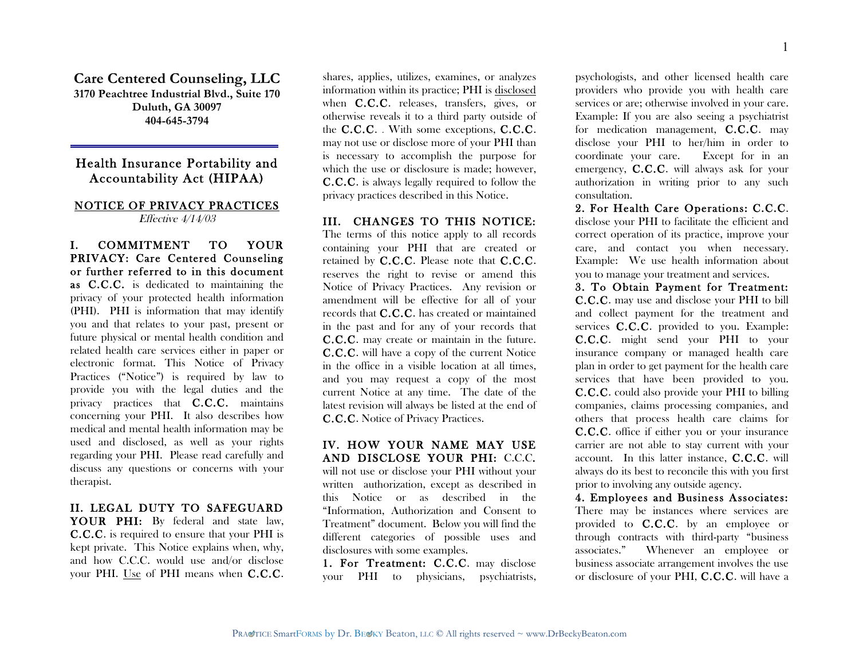**Care Centered Counseling, LLC 3170 Peachtree Industrial Blvd., Suite 170 Duluth, GA 30097 404-645-3794**

# Health Insurance Portability and Accountability Act (HIPAA)

### NOTICE OF PRIVACY PRACTICES Effective 4/14/03

I. COMMITMENT TO YOUR PRIVACY: Care Centered Counseling or further referred to in this document as C.C.C. is dedicated to maintaining the privacy of your protected health information (PHI). PHI is information that may identify you and that relates to your past, present or future physical or mental health condition and related health care services either in paper or electronic format. This Notice of Privacy Practices ("Notice") is required by law to provide you with the legal duties and the privacy practices that C.C.C. maintains concerning your PHI. It also describes how medical and mental health information may be used and disclosed, as well as your rights regarding your PHI. Please read carefully and discuss any questions or concerns with your therapist.

## II. LEGAL DUTY TO SAFEGUARD

YOUR PHI: By federal and state law, C.C.C. is required to ensure that your PHI is kept private. This Notice explains when, why, and how C.C.C. would use and/or disclose your PHI. Use of PHI means when C.C.C.

shares, applies, utilizes, examines, or analyzes information within its practice; PHI is disclosed when C.C.C. releases, transfers, gives, or otherwise reveals it to a third party outside of the  $C.C.C.$  . With some exceptions,  $C.C.C.$ may not use or disclose more of your PHI than is necessary to accomplish the purpose for which the use or disclosure is made; however, C.C.C. is always legally required to follow the privacy practices described in this Notice.

#### III. CHANGES TO THIS NOTICE:

The terms of this notice apply to all records containing your PHI that are created or retained by C.C.C. Please note that C.C.C. reserves the right to revise or amend this Notice of Privacy Practices. Any revision or amendment will be effective for all of your records that C.C.C. has created or maintained in the past and for any of your records that C.C.C. may create or maintain in the future. C.C.C. will have a copy of the current Notice in the office in a visible location at all times, and you may request a copy of the most current Notice at any time. The date of the latest revision will always be listed at the end of C.C.C. Notice of Privacy Practices.

## IV. HOW YOUR NAME MAY USE AND DISCLOSE YOUR PHI: C.C.C. will not use or disclose your PHI without your written authorization, except as described in this Notice or as described in the "Information, Authorization and Consent to Treatment" document. Below you will find the different categories of possible uses and disclosures with some examples.

1. For Treatment: C.C.C. may disclose your PHI to physicians, psychiatrists, psychologists, and other licensed health care providers who provide you with health care services or are; otherwise involved in your care. Example: If you are also seeing a psychiatrist for medication management, C.C.C. may disclose your PHI to her/him in order to coordinate your care. Except for in an emergency, C.C.C. will always ask for your authorization in writing prior to any such consultation.

2. For Health Care Operations: C.C.C. disclose your PHI to facilitate the efficient and correct operation of its practice, improve your care, and contact you when necessary. Example: We use health information about you to manage your treatment and services.

3. To Obtain Payment for Treatment: C.C.C. may use and disclose your PHI to bill and collect payment for the treatment and services C.C.C. provided to you. Example: C.C.C. might send your PHI to your insurance company or managed health care plan in order to get payment for the health care services that have been provided to you. C.C.C. could also provide your PHI to billing companies, claims processing companies, and others that process health care claims for C.C.C. office if either you or your insurance carrier are not able to stay current with your account. In this latter instance, C.C.C. will always do its best to reconcile this with you first prior to involving any outside agency.

4. Employees and Business Associates: There may be instances where services are provided to C.C.C. by an employee or through contracts with third-party "business associates." Whenever an employee or business associate arrangement involves the use or disclosure of your PHI, C.C.C. will have a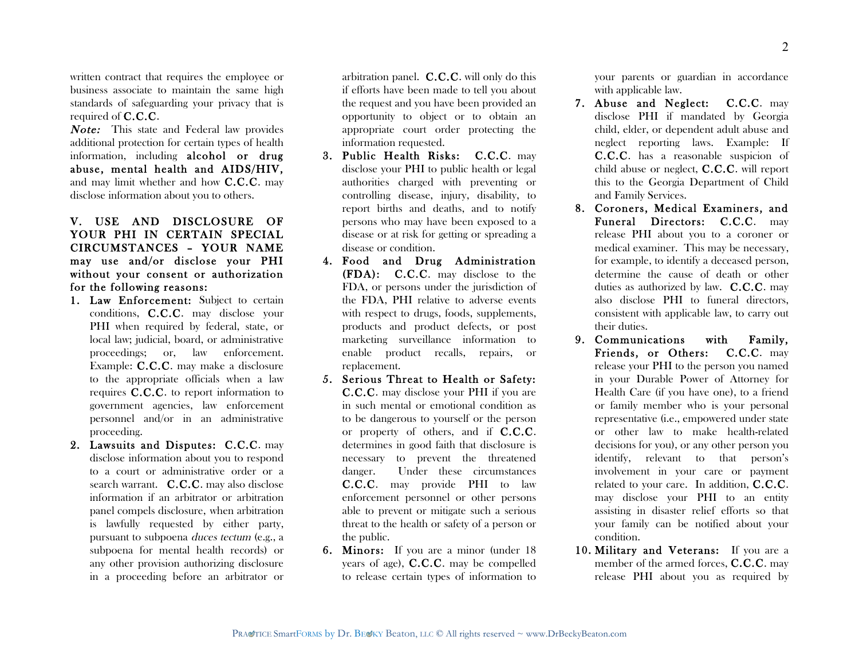written contract that requires the employee or business associate to maintain the same high standards of safeguarding your privacy that is required of C.C.C.

Note: This state and Federal law provides additional protection for certain types of health information, including alcohol or drug abuse, mental health and AIDS/HIV, and may limit whether and how C.C.C. may disclose information about you to others.

## V. USE AND DISCLOSURE OF YOUR PHI IN CERTAIN SPECIAL CIRCUMSTANCES – YOUR NAME may use and/or disclose your PHI without your consent or authorization for the following reasons:

- 1. Law Enforcement: Subject to certain conditions, C.C.C. may disclose your PHI when required by federal, state, or local law; judicial, board, or administrative proceedings; or, law enforcement. Example: C.C.C. may make a disclosure to the appropriate officials when a law requires C.C.C. to report information to government agencies, law enforcement personnel and/or in an administrative proceeding.
- 2. Lawsuits and Disputes: C.C.C. may disclose information about you to respond to a court or administrative order or a search warrant. C.C.C. may also disclose information if an arbitrator or arbitration panel compels disclosure, when arbitration is lawfully requested by either party, pursuant to subpoena duces tectum (e.g., a subpoena for mental health records) or any other provision authorizing disclosure in a proceeding before an arbitrator or

arbitration panel. C.C.C. will only do this if efforts have been made to tell you about the request and you have been provided an opportunity to object or to obtain an appropriate court order protecting the information requested.

- 3. Public Health Risks: C.C.C. may disclose your PHI to public health or legal authorities charged with preventing or controlling disease, injury, disability, to report births and deaths, and to notify persons who may have been exposed to a disease or at risk for getting or spreading a disease or condition.
- 4. Food and Drug Administration (FDA): C.C.C. may disclose to the FDA, or persons under the jurisdiction of the FDA, PHI relative to adverse events with respect to drugs, foods, supplements, products and product defects, or post marketing surveillance information to enable product recalls, repairs, or replacement.
- 5. Serious Threat to Health or Safety: C.C.C. may disclose your PHI if you are in such mental or emotional condition as to be dangerous to yourself or the person or property of others, and if C.C.C. determines in good faith that disclosure is necessary to prevent the threatened danger. Under these circumstances C.C.C. may provide PHI to law enforcement personnel or other persons able to prevent or mitigate such a serious threat to the health or safety of a person or the public.
- 6. Minors: If you are a minor (under 18 years of age), C.C.C. may be compelled to release certain types of information to

your parents or guardian in accordance with applicable law.

- 7. Abuse and Neglect: C.C.C. may disclose PHI if mandated by Georgia child, elder, or dependent adult abuse and neglect reporting laws. Example: If C.C.C. has a reasonable suspicion of child abuse or neglect, C.C.C. will report this to the Georgia Department of Child and Family Services.
- 8. Coroners, Medical Examiners, and Funeral Directors: C.C.C. may release PHI about you to a coroner or medical examiner. This may be necessary, for example, to identify a deceased person, determine the cause of death or other duties as authorized by law. C.C.C. may also disclose PHI to funeral directors, consistent with applicable law, to carry out their duties.
- 9. Communications with Family, Friends, or Others: C.C.C. may release your PHI to the person you named in your Durable Power of Attorney for Health Care (if you have one), to a friend or family member who is your personal representative (i.e., empowered under state or other law to make health-related decisions for you), or any other person you identify, relevant to that person's involvement in your care or payment related to your care. In addition, C.C.C. may disclose your PHI to an entity assisting in disaster relief efforts so that your family can be notified about your condition.
- 10. Military and Veterans: If you are a member of the armed forces, **C.C.C.** may release PHI about you as required by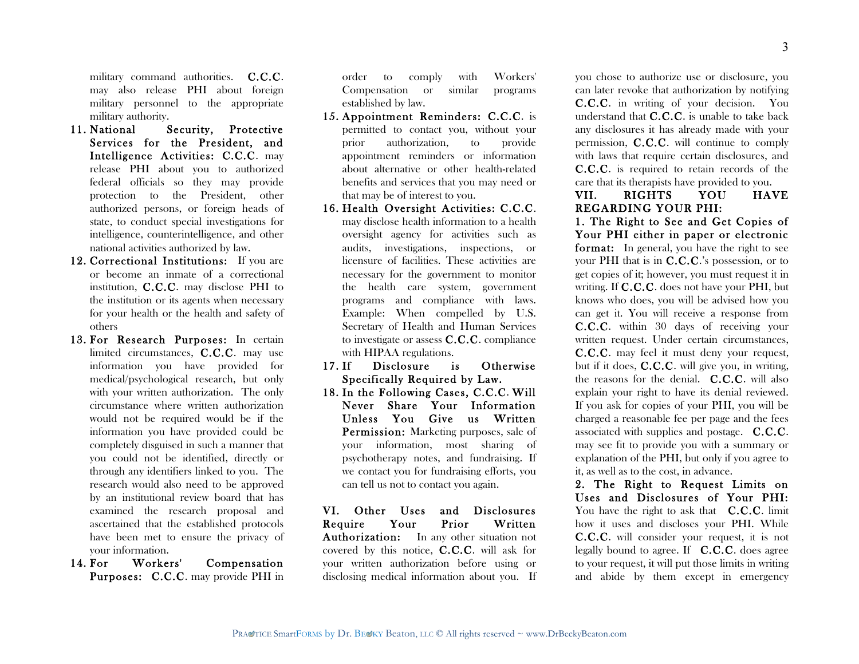military command authorities. **C.C.C.** may also release PHI about foreign military personnel to the appropriate military authority.

- 11. National Security, Protective Services for the President, and Intelligence Activities: C.C.C. may release PHI about you to authorized federal officials so they may provide protection to the President, other authorized persons, or foreign heads of state, to conduct special investigations for intelligence, counterintelligence, and other national activities authorized by law.
- 12. Correctional Institutions: If you are or become an inmate of a correctional institution, C.C.C. may disclose PHI to the institution or its agents when necessary for your health or the health and safety of others
- 13. For Research Purposes: In certain limited circumstances, C.C.C. may use information you have provided for medical/psychological research, but only with your written authorization. The only circumstance where written authorization would not be required would be if the information you have provided could be completely disguised in such a manner that you could not be identified, directly or through any identifiers linked to you. The research would also need to be approved by an institutional review board that has examined the research proposal and ascertained that the established protocols have been met to ensure the privacy of your information.
- 14. For Workers' Compensation Purposes: C.C.C. may provide PHI in

order to comply with Workers' Compensation or similar programs established by law.

- 15. Appointment Reminders: C.C.C. is permitted to contact you, without your prior authorization, to provide appointment reminders or information about alternative or other health-related benefits and services that you may need or that may be of interest to you.
- 16. Health Oversight Activities: C.C.C. may disclose health information to a health oversight agency for activities such as audits, investigations, inspections, or licensure of facilities. These activities are necessary for the government to monitor the health care system, government programs and compliance with laws. Example: When compelled by U.S. Secretary of Health and Human Services to investigate or assess C.C.C. compliance with HIPAA regulations.
- 17. If Disclosure is Otherwise Specifically Required by Law.
- 18. In the Following Cases, C.C.C. Will Never Share Your Information Unless You Give us Written Permission: Marketing purposes, sale of your information, most sharing of psychotherapy notes, and fundraising. If we contact you for fundraising efforts, you can tell us not to contact you again.

VI. Other Uses and Disclosures Require Your Prior Written Authorization: In any other situation not covered by this notice, C.C.C. will ask for your written authorization before using or disclosing medical information about you. If you chose to authorize use or disclosure, you can later revoke that authorization by notifying C.C.C. in writing of your decision. You understand that C.C.C. is unable to take back any disclosures it has already made with your permission, C.C.C. will continue to comply with laws that require certain disclosures, and C.C.C. is required to retain records of the care that its therapists have provided to you.

#### VII. RIGHTS YOU HAVE REGARDING YOUR PHI:

1. The Right to See and Get Copies of Your PHI either in paper or electronic format: In general, you have the right to see your PHI that is in C.C.C.'s possession, or to get copies of it; however, you must request it in writing. If C.C.C. does not have your PHI, but knows who does, you will be advised how you can get it. You will receive a response from C.C.C. within 30 days of receiving your written request. Under certain circumstances, C.C.C. may feel it must deny your request, but if it does, C.C.C. will give you, in writing, the reasons for the denial. C.C.C. will also explain your right to have its denial reviewed. If you ask for copies of your PHI, you will be charged a reasonable fee per page and the fees associated with supplies and postage. C.C.C. may see fit to provide you with a summary or explanation of the PHI, but only if you agree to it, as well as to the cost, in advance.

2. The Right to Request Limits on Uses and Disclosures of Your PHI: You have the right to ask that **C.C.C.** limit how it uses and discloses your PHI. While C.C.C. will consider your request, it is not legally bound to agree. If C.C.C. does agree to your request, it will put those limits in writing and abide by them except in emergency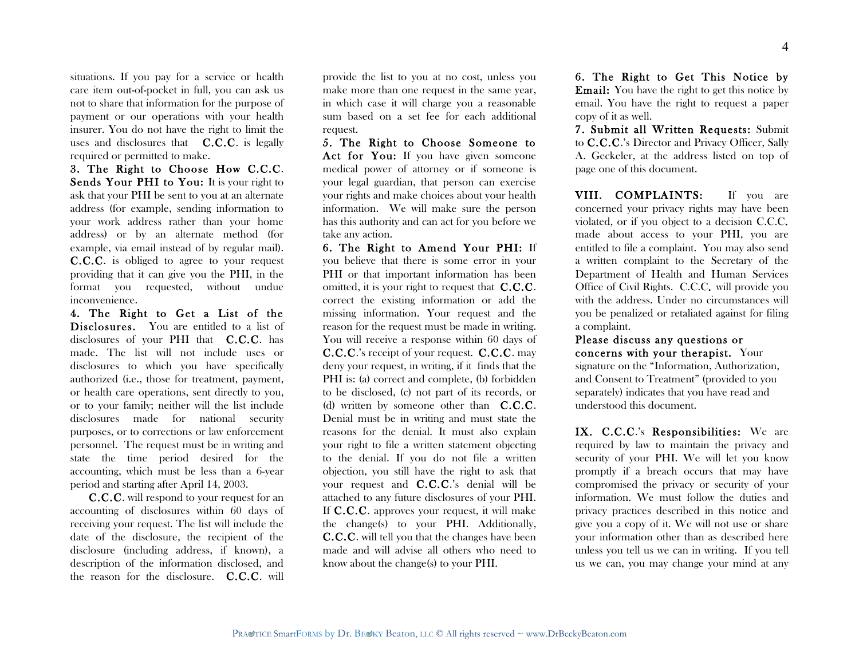situations. If you pay for a service or health care item out-of-pocket in full, you can ask us not to share that information for the purpose of payment or our operations with your health insurer. You do not have the right to limit the uses and disclosures that **C.C.C.** is legally required or permitted to make.

3. The Right to Choose How C.C.C. Sends Your PHI to You: It is your right to ask that your PHI be sent to you at an alternate address (for example, sending information to your work address rather than your home address) or by an alternate method (for example, via email instead of by regular mail). C.C.C. is obliged to agree to your request providing that it can give you the PHI, in the format you requested, without undue inconvenience.

4. The Right to Get a List of the Disclosures. You are entitled to a list of disclosures of your PHI that **C.C.C.** has made. The list will not include uses or disclosures to which you have specifically authorized (i.e., those for treatment, payment, or health care operations, sent directly to you, or to your family; neither will the list include disclosures made for national security purposes, or to corrections or law enforcement personnel. The request must be in writing and state the time period desired for the accounting, which must be less than a 6-year period and starting after April 14, 2003.

 C.C.C. will respond to your request for an accounting of disclosures within 60 days of receiving your request. The list will include the date of the disclosure, the recipient of the disclosure (including address, if known), a description of the information disclosed, and the reason for the disclosure. C.C.C. will

provide the list to you at no cost, unless you make more than one request in the same year, in which case it will charge you a reasonable sum based on a set fee for each additional request.

5. The Right to Choose Someone to Act for You: If you have given someone medical power of attorney or if someone is your legal guardian, that person can exercise your rights and make choices about your health information. We will make sure the person has this authority and can act for you before we take any action.

6. The Right to Amend Your PHI: If you believe that there is some error in your PHI or that important information has been omitted, it is your right to request that C.C.C. correct the existing information or add the missing information. Your request and the reason for the request must be made in writing. You will receive a response within 60 days of C.C.C.'s receipt of your request. C.C.C. may deny your request, in writing, if it finds that the PHI is: (a) correct and complete, (b) forbidden to be disclosed, (c) not part of its records, or (d) written by someone other than C.C.C. Denial must be in writing and must state the reasons for the denial. It must also explain your right to file a written statement objecting to the denial. If you do not file a written objection, you still have the right to ask that your request and C.C.C.'s denial will be attached to any future disclosures of your PHI. If C.C.C. approves your request, it will make the change(s) to your PHI. Additionally, C.C.C. will tell you that the changes have been made and will advise all others who need to know about the change(s) to your PHI.

6. The Right to Get This Notice by Email: You have the right to get this notice by email. You have the right to request a paper copy of it as well.

7. Submit all Written Requests: Submit to C.C.C.'s Director and Privacy Officer, Sally A. Geckeler, at the address listed on top of page one of this document.

VIII. COMPLAINTS: If you are concerned your privacy rights may have been violated, or if you object to a decision C.C.C. made about access to your PHI, you are entitled to file a complaint. You may also send a written complaint to the Secretary of the Department of Health and Human Services Office of Civil Rights. C.C.C. will provide you with the address. Under no circumstances will you be penalized or retaliated against for filing a complaint.

Please discuss any questions or concerns with your therapist. Your signature on the "Information, Authorization, and Consent to Treatment" (provided to you separately) indicates that you have read and understood this document.

IX. C.C.C.'s Responsibilities: We are required by law to maintain the privacy and security of your PHI. We will let you know promptly if a breach occurs that may have compromised the privacy or security of your information. We must follow the duties and privacy practices described in this notice and give you a copy of it. We will not use or share your information other than as described here unless you tell us we can in writing. If you tell us we can, you may change your mind at any